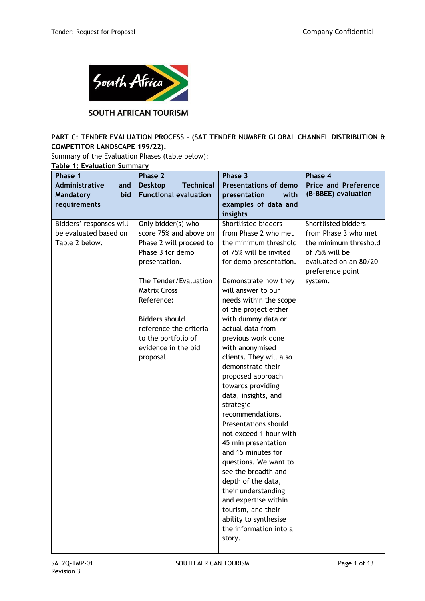

## SOUTH AFRICAN TOURISM

# **PART C: TENDER EVALUATION PROCESS – (SAT TENDER NUMBER GLOBAL CHANNEL DISTRIBUTION & COMPETITOR LANDSCAPE 199/22).**

Summary of the Evaluation Phases (table below):

**Table 1: Evaluation Summary**

| Phase 1                 | Phase 2                            | Phase 3                                      | Phase 4                                   |
|-------------------------|------------------------------------|----------------------------------------------|-------------------------------------------|
| Administrative<br>and   | <b>Desktop</b><br><b>Technical</b> | <b>Presentations of demo</b>                 | <b>Price and Preference</b>               |
| bid<br><b>Mandatory</b> | <b>Functional evaluation</b>       | presentation<br>with                         | (B-BBEE) evaluation                       |
| requirements            |                                    | examples of data and                         |                                           |
|                         |                                    | insights                                     |                                           |
| Bidders' responses will | Only bidder(s) who                 | Shortlisted bidders                          | Shortlisted bidders                       |
| be evaluated based on   | score 75% and above on             | from Phase 2 who met                         | from Phase 3 who met                      |
| Table 2 below.          | Phase 2 will proceed to            | the minimum threshold                        | the minimum threshold                     |
|                         | Phase 3 for demo                   | of 75% will be invited                       | of 75% will be                            |
|                         | presentation.                      | for demo presentation.                       | evaluated on an 80/20<br>preference point |
|                         | The Tender/Evaluation              | Demonstrate how they                         | system.                                   |
|                         | <b>Matrix Cross</b>                | will answer to our                           |                                           |
|                         | Reference:                         | needs within the scope                       |                                           |
|                         |                                    | of the project either                        |                                           |
|                         | <b>Bidders should</b>              | with dummy data or                           |                                           |
|                         | reference the criteria             | actual data from                             |                                           |
|                         | to the portfolio of                | previous work done                           |                                           |
|                         | evidence in the bid                | with anonymised                              |                                           |
|                         | proposal.                          | clients. They will also                      |                                           |
|                         |                                    | demonstrate their                            |                                           |
|                         |                                    | proposed approach                            |                                           |
|                         |                                    | towards providing                            |                                           |
|                         |                                    | data, insights, and                          |                                           |
|                         |                                    | strategic                                    |                                           |
|                         |                                    | recommendations.                             |                                           |
|                         |                                    | Presentations should                         |                                           |
|                         |                                    | not exceed 1 hour with                       |                                           |
|                         |                                    | 45 min presentation                          |                                           |
|                         |                                    | and 15 minutes for                           |                                           |
|                         |                                    | questions. We want to<br>see the breadth and |                                           |
|                         |                                    | depth of the data,                           |                                           |
|                         |                                    | their understanding                          |                                           |
|                         |                                    | and expertise within                         |                                           |
|                         |                                    | tourism, and their                           |                                           |
|                         |                                    | ability to synthesise                        |                                           |
|                         |                                    | the information into a                       |                                           |
|                         |                                    | story.                                       |                                           |
|                         |                                    |                                              |                                           |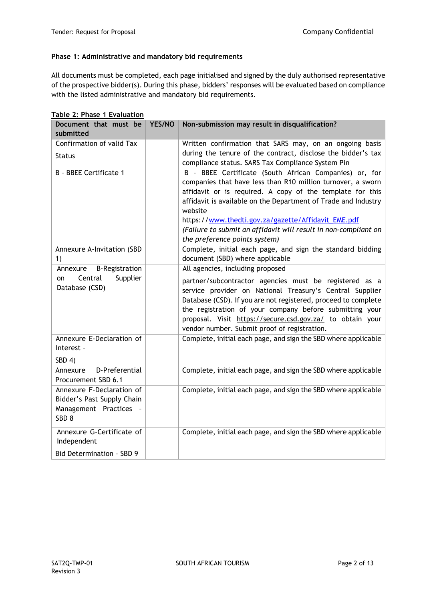#### **Phase 1: Administrative and mandatory bid requirements**

All documents must be completed, each page initialised and signed by the duly authorised representative of the prospective bidder(s). During this phase, bidders' responses will be evaluated based on compliance with the listed administrative and mandatory bid requirements.

| Document that must be<br>submitted                                                                  | YES/NO | Non-submission may result in disqualification?                                                                                                                                                                                                                                                                                                                                                                             |
|-----------------------------------------------------------------------------------------------------|--------|----------------------------------------------------------------------------------------------------------------------------------------------------------------------------------------------------------------------------------------------------------------------------------------------------------------------------------------------------------------------------------------------------------------------------|
| Confirmation of valid Tax                                                                           |        | Written confirmation that SARS may, on an ongoing basis                                                                                                                                                                                                                                                                                                                                                                    |
| <b>Status</b>                                                                                       |        | during the tenure of the contract, disclose the bidder's tax<br>compliance status. SARS Tax Compliance System Pin                                                                                                                                                                                                                                                                                                          |
| B - BBEE Certificate 1                                                                              |        | B - BBEE Certificate (South African Companies) or, for<br>companies that have less than R10 million turnover, a sworn<br>affidavit or is required. A copy of the template for this<br>affidavit is available on the Department of Trade and Industry<br>website<br>https://www.thedti.gov.za/gazette/Affidavit_EME.pdf<br>(Failure to submit an affidavit will result in non-compliant on<br>the preference points system) |
| Annexure A-Invitation (SBD<br>1)                                                                    |        | Complete, initial each page, and sign the standard bidding<br>document (SBD) where applicable                                                                                                                                                                                                                                                                                                                              |
| <b>B-Registration</b><br>Annexure<br>Supplier<br>Central<br>on<br>Database (CSD)                    |        | All agencies, including proposed<br>partner/subcontractor agencies must be registered as a<br>service provider on National Treasury's Central Supplier<br>Database (CSD). If you are not registered, proceed to complete<br>the registration of your company before submitting your<br>proposal. Visit https://secure.csd.gov.za/ to obtain your<br>vendor number. Submit proof of registration.                           |
| Annexure E-Declaration of<br>Interest -<br>SBD 4)                                                   |        | Complete, initial each page, and sign the SBD where applicable                                                                                                                                                                                                                                                                                                                                                             |
| D-Preferential<br>Annexure<br>Procurement SBD 6.1                                                   |        | Complete, initial each page, and sign the SBD where applicable                                                                                                                                                                                                                                                                                                                                                             |
| Annexure F-Declaration of<br>Bidder's Past Supply Chain<br>Management Practices<br>SBD <sub>8</sub> |        | Complete, initial each page, and sign the SBD where applicable                                                                                                                                                                                                                                                                                                                                                             |
| Annexure G-Certificate of<br>Independent<br>Bid Determination - SBD 9                               |        | Complete, initial each page, and sign the SBD where applicable                                                                                                                                                                                                                                                                                                                                                             |

**Table 2: Phase 1 Evaluation**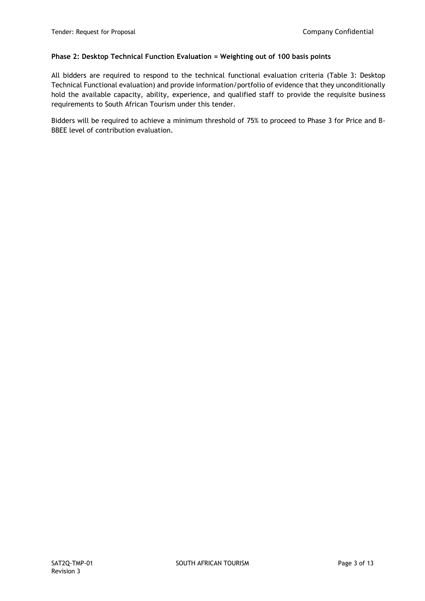### **Phase 2: Desktop Technical Function Evaluation = Weighting out of 100 basis points**

All bidders are required to respond to the technical functional evaluation criteria (Table 3: Desktop Technical Functional evaluation) and provide information/portfolio of evidence that they unconditionally hold the available capacity, ability, experience, and qualified staff to provide the requisite business requirements to South African Tourism under this tender.

Bidders will be required to achieve a minimum threshold of 75% to proceed to Phase 3 for Price and B-BBEE level of contribution evaluation.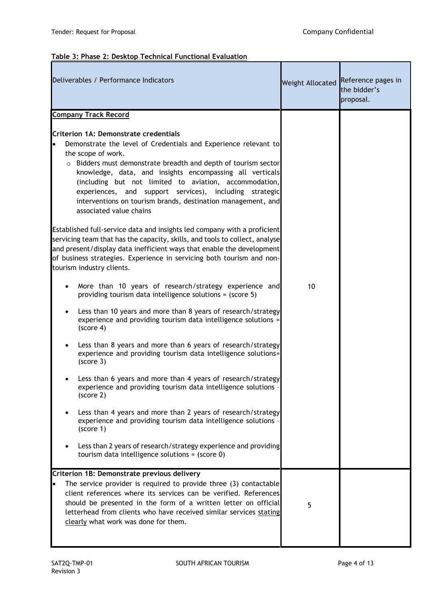# **Table 3: Phase 2: Desktop Technical Functional Evaluation**

| Deliverables / Performance Indicators                                                                                                                                                                                                                                                                                                                                                                                                                                                                                                                                                                                                                                                                                  | Weight Allocated | Reference pages in<br>the bidder's<br>proposal. |
|------------------------------------------------------------------------------------------------------------------------------------------------------------------------------------------------------------------------------------------------------------------------------------------------------------------------------------------------------------------------------------------------------------------------------------------------------------------------------------------------------------------------------------------------------------------------------------------------------------------------------------------------------------------------------------------------------------------------|------------------|-------------------------------------------------|
| <b>Company Track Record</b>                                                                                                                                                                                                                                                                                                                                                                                                                                                                                                                                                                                                                                                                                            |                  |                                                 |
| Criterion 1A: Demonstrate credentials<br>Demonstrate the level of Credentials and Experience relevant to<br>lo<br>the scope of work.<br>o Bidders must demonstrate breadth and depth of tourism sector<br>knowledge, data, and insights encompassing all verticals<br>(including but not limited to aviation, accommodation,<br>experiences, and support services), including strategic<br>interventions on tourism brands, destination management, and<br>associated value chains<br>Established full-service data and insights led company with a proficient<br>servicing team that has the capacity, skills, and tools to collect, analyse<br>and present/display data inefficient ways that enable the development |                  |                                                 |
| of business strategies. Experience in servicing both tourism and non-<br>tourism industry clients.                                                                                                                                                                                                                                                                                                                                                                                                                                                                                                                                                                                                                     |                  |                                                 |
| More than 10 years of research/strategy experience and<br>$\bullet$<br>providing tourism data intelligence solutions = (score 5)                                                                                                                                                                                                                                                                                                                                                                                                                                                                                                                                                                                       | 10               |                                                 |
| Less than 10 years and more than 8 years of research/strategy<br>experience and providing tourism data intelligence solutions =<br>(score 4)                                                                                                                                                                                                                                                                                                                                                                                                                                                                                                                                                                           |                  |                                                 |
| Less than 8 years and more than 6 years of research/strategy<br>experience and providing tourism data intelligence solutions=<br>(score 3)                                                                                                                                                                                                                                                                                                                                                                                                                                                                                                                                                                             |                  |                                                 |
| Less than 6 years and more than 4 years of research/strategy<br>experience and providing tourism data intelligence solutions -<br>(score 2)                                                                                                                                                                                                                                                                                                                                                                                                                                                                                                                                                                            |                  |                                                 |
| Less than 4 years and more than 2 years of research/strategy<br>experience and providing tourism data intelligence solutions<br>(score 1)                                                                                                                                                                                                                                                                                                                                                                                                                                                                                                                                                                              |                  |                                                 |
| Less than 2 years of research/strategy experience and providing<br>tourism data intelligence solutions = (score 0)                                                                                                                                                                                                                                                                                                                                                                                                                                                                                                                                                                                                     |                  |                                                 |
| Criterion 1B: Demonstrate previous delivery                                                                                                                                                                                                                                                                                                                                                                                                                                                                                                                                                                                                                                                                            |                  |                                                 |
| The service provider is required to provide three (3) contactable<br>client references where its services can be verified. References<br>should be presented in the form of a written letter on official<br>letterhead from clients who have received similar services stating<br>clearly what work was done for them.                                                                                                                                                                                                                                                                                                                                                                                                 | 5                |                                                 |
|                                                                                                                                                                                                                                                                                                                                                                                                                                                                                                                                                                                                                                                                                                                        |                  |                                                 |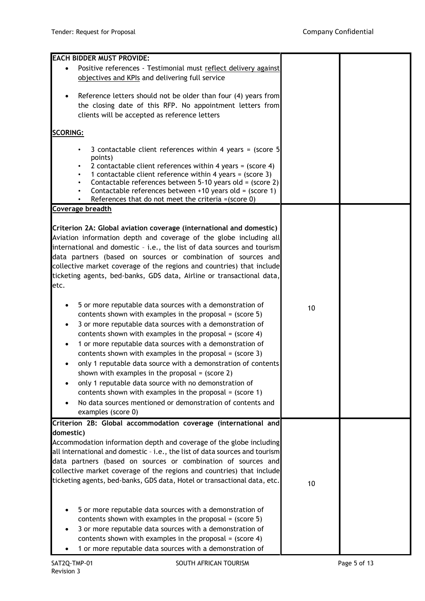| <b>EACH BIDDER MUST PROVIDE:</b>                                                                                 |    |  |
|------------------------------------------------------------------------------------------------------------------|----|--|
| Positive references - Testimonial must reflect delivery against                                                  |    |  |
| objectives and KPIs and delivering full service                                                                  |    |  |
|                                                                                                                  |    |  |
| Reference letters should not be older than four (4) years from<br>$\bullet$                                      |    |  |
| the closing date of this RFP. No appointment letters from                                                        |    |  |
| clients will be accepted as reference letters                                                                    |    |  |
|                                                                                                                  |    |  |
| <b>SCORING:</b>                                                                                                  |    |  |
| 3 contactable client references within 4 years = (score 5                                                        |    |  |
| points)                                                                                                          |    |  |
| 2 contactable client references within 4 years = (score 4)                                                       |    |  |
| 1 contactable client reference within 4 years = (score 3)                                                        |    |  |
| Contactable references between 5-10 years old = (score 2)                                                        |    |  |
| Contactable references between +10 years old = (score 1)<br>References that do not meet the criteria = (score 0) |    |  |
| Coverage breadth                                                                                                 |    |  |
|                                                                                                                  |    |  |
| Criterion 2A: Global aviation coverage (international and domestic)                                              |    |  |
| Aviation information depth and coverage of the globe including all                                               |    |  |
| international and domestic - i.e., the list of data sources and tourism                                          |    |  |
| data partners (based on sources or combination of sources and                                                    |    |  |
| collective market coverage of the regions and countries) that include                                            |    |  |
| ticketing agents, bed-banks, GDS data, Airline or transactional data,                                            |    |  |
| etc.                                                                                                             |    |  |
|                                                                                                                  |    |  |
| 5 or more reputable data sources with a demonstration of<br>$\bullet$                                            |    |  |
| contents shown with examples in the proposal = $(score 5)$                                                       | 10 |  |
| 3 or more reputable data sources with a demonstration of                                                         |    |  |
| contents shown with examples in the proposal = $(score 4)$                                                       |    |  |
| 1 or more reputable data sources with a demonstration of                                                         |    |  |
| contents shown with examples in the proposal = $(score 3)$                                                       |    |  |
| only 1 reputable data source with a demonstration of contents                                                    |    |  |
| shown with examples in the proposal $=$ (score 2)                                                                |    |  |
| only 1 reputable data source with no demonstration of                                                            |    |  |
| contents shown with examples in the proposal = $(score 1)$                                                       |    |  |
| No data sources mentioned or demonstration of contents and                                                       |    |  |
| examples (score 0)                                                                                               |    |  |
| Criterion 2B: Global accommodation coverage (international and                                                   |    |  |
| domestic)                                                                                                        |    |  |
| Accommodation information depth and coverage of the globe including                                              |    |  |
| all international and domestic - i.e., the list of data sources and tourism                                      |    |  |
| data partners (based on sources or combination of sources and                                                    |    |  |
| collective market coverage of the regions and countries) that include                                            |    |  |
| ticketing agents, bed-banks, GDS data, Hotel or transactional data, etc.                                         |    |  |
|                                                                                                                  | 10 |  |
|                                                                                                                  |    |  |
| 5 or more reputable data sources with a demonstration of                                                         |    |  |
| contents shown with examples in the proposal = $(score 5)$                                                       |    |  |
| 3 or more reputable data sources with a demonstration of                                                         |    |  |
| contents shown with examples in the proposal = $(score 4)$                                                       |    |  |
| 1 or more reputable data sources with a demonstration of                                                         |    |  |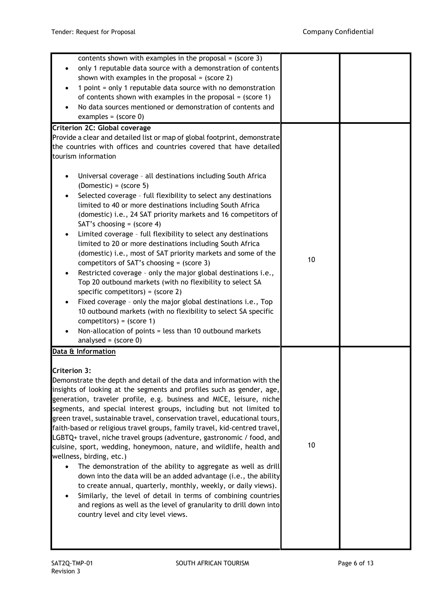| contents shown with examples in the proposal = $(score 3)$<br>only 1 reputable data source with a demonstration of contents<br>shown with examples in the proposal = $(score 2)$<br>1 point = only 1 reputable data source with no demonstration<br>of contents shown with examples in the proposal = $(\text{score 1})$<br>No data sources mentioned or demonstration of contents and<br>examples = $(score 0)$<br>Criterion 2C: Global coverage<br>Provide a clear and detailed list or map of global footprint, demonstrate<br>the countries with offices and countries covered that have detailed                                                                                                                                                                                                                                                                                                                                                                                                                                                                      |    |  |
|----------------------------------------------------------------------------------------------------------------------------------------------------------------------------------------------------------------------------------------------------------------------------------------------------------------------------------------------------------------------------------------------------------------------------------------------------------------------------------------------------------------------------------------------------------------------------------------------------------------------------------------------------------------------------------------------------------------------------------------------------------------------------------------------------------------------------------------------------------------------------------------------------------------------------------------------------------------------------------------------------------------------------------------------------------------------------|----|--|
| tourism information<br>Universal coverage - all destinations including South Africa<br>$(Domestic) = (score 5)$<br>Selected coverage - full flexibility to select any destinations<br>limited to 40 or more destinations including South Africa<br>(domestic) i.e., 24 SAT priority markets and 16 competitors of<br>SAT's choosing = $(score 4)$<br>Limited coverage - full flexibility to select any destinations<br>limited to 20 or more destinations including South Africa<br>(domestic) i.e., most of SAT priority markets and some of the<br>competitors of SAT's choosing = $(score 3)$<br>Restricted coverage - only the major global destinations i.e.,<br>Top 20 outbound markets (with no flexibility to select SA<br>specific competitors) = $(score 2)$<br>Fixed coverage - only the major global destinations i.e., Top<br>10 outbound markets (with no flexibility to select SA specific<br>competitors) = $(score 1)$<br>Non-allocation of points = less than 10 outbound markets<br>analysed = $(score 0)$                                              | 10 |  |
| Data & Information<br><b>Criterion 3:</b><br>Demonstrate the depth and detail of the data and information with the<br>insights of looking at the segments and profiles such as gender, age,<br>generation, traveler profile, e.g. business and MICE, leisure, niche<br>segments, and special interest groups, including but not limited to<br>green travel, sustainable travel, conservation travel, educational tours,<br>faith-based or religious travel groups, family travel, kid-centred travel,<br>LGBTQ+ travel, niche travel groups (adventure, gastronomic / food, and<br>cuisine, sport, wedding, honeymoon, nature, and wildlife, health and<br>wellness, birding, etc.)<br>The demonstration of the ability to aggregate as well as drill<br>down into the data will be an added advantage (i.e., the ability<br>to create annual, quarterly, monthly, weekly, or daily views).<br>Similarly, the level of detail in terms of combining countries<br>and regions as well as the level of granularity to drill down into<br>country level and city level views. | 10 |  |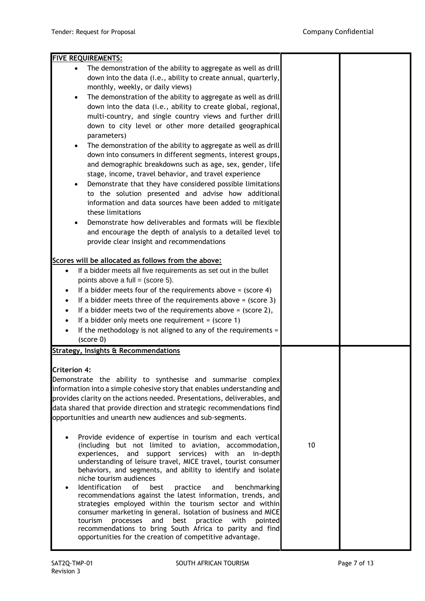| <b>FIVE REQUIREMENTS:</b>                                                                                            |    |  |
|----------------------------------------------------------------------------------------------------------------------|----|--|
| The demonstration of the ability to aggregate as well as drill<br>$\bullet$                                          |    |  |
| down into the data (i.e., ability to create annual, quarterly,                                                       |    |  |
| monthly, weekly, or daily views)                                                                                     |    |  |
| The demonstration of the ability to aggregate as well as drill<br>$\bullet$                                          |    |  |
| down into the data (i.e., ability to create global, regional,                                                        |    |  |
| multi-country, and single country views and further drill                                                            |    |  |
| down to city level or other more detailed geographical                                                               |    |  |
| parameters)                                                                                                          |    |  |
| The demonstration of the ability to aggregate as well as drill<br>$\bullet$                                          |    |  |
| down into consumers in different segments, interest groups,                                                          |    |  |
| and demographic breakdowns such as age, sex, gender, life                                                            |    |  |
| stage, income, travel behavior, and travel experience                                                                |    |  |
| Demonstrate that they have considered possible limitations<br>$\bullet$                                              |    |  |
| to the solution presented and advise how additional                                                                  |    |  |
| information and data sources have been added to mitigate                                                             |    |  |
| these limitations                                                                                                    |    |  |
| Demonstrate how deliverables and formats will be flexible<br>$\bullet$                                               |    |  |
| and encourage the depth of analysis to a detailed level to                                                           |    |  |
| provide clear insight and recommendations                                                                            |    |  |
|                                                                                                                      |    |  |
| Scores will be allocated as follows from the above:                                                                  |    |  |
| If a bidder meets all five requirements as set out in the bullet<br>$\bullet$                                        |    |  |
| points above a full = $(score 5)$ .                                                                                  |    |  |
| If a bidder meets four of the requirements above = $(score 4)$                                                       |    |  |
| If a bidder meets three of the requirements above $=$ (score 3)<br>$\bullet$                                         |    |  |
| If a bidder meets two of the requirements above = $(score 2)$ ,<br>$\bullet$                                         |    |  |
| If a bidder only meets one requirement = $(score 1)$                                                                 |    |  |
| If the methodology is not aligned to any of the requirements =                                                       |    |  |
| (score 0)                                                                                                            |    |  |
| <b>Strategy, Insights &amp; Recommendations</b>                                                                      |    |  |
| <b>Criterion 4:</b>                                                                                                  |    |  |
| Demonstrate the ability to synthesise and summarise complex                                                          |    |  |
| information into a simple cohesive story that enables understanding and                                              |    |  |
| provides clarity on the actions needed. Presentations, deliverables, and                                             |    |  |
| data shared that provide direction and strategic recommendations find                                                |    |  |
| opportunities and unearth new audiences and sub-segments.                                                            |    |  |
|                                                                                                                      |    |  |
| Provide evidence of expertise in tourism and each vertical                                                           |    |  |
| (including but not limited to aviation, accommodation,                                                               | 10 |  |
| experiences, and support services) with an in-depth                                                                  |    |  |
| understanding of leisure travel, MICE travel, tourist consumer                                                       |    |  |
| behaviors, and segments, and ability to identify and isolate<br>niche tourism audiences                              |    |  |
| Identification<br>of<br>best<br>practice<br>benchmarking<br>and<br>$\bullet$                                         |    |  |
| recommendations against the latest information, trends, and                                                          |    |  |
| strategies employed within the tourism sector and within                                                             |    |  |
| consumer marketing in general. Isolation of business and MICE                                                        |    |  |
| tourism<br>processes and<br>best<br>practice with<br>pointed                                                         |    |  |
| recommendations to bring South Africa to parity and find<br>opportunities for the creation of competitive advantage. |    |  |
|                                                                                                                      |    |  |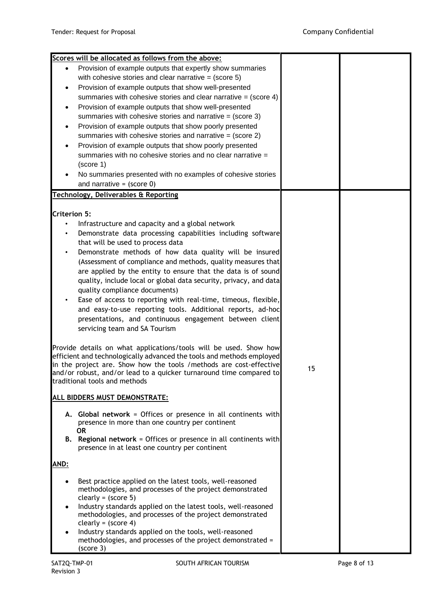|                     | Scores will be allocated as follows from the above:                     |    |  |
|---------------------|-------------------------------------------------------------------------|----|--|
|                     | Provision of example outputs that expertly show summaries               |    |  |
|                     | with cohesive stories and clear narrative = $(score 5)$                 |    |  |
|                     | Provision of example outputs that show well-presented                   |    |  |
|                     | summaries with cohesive stories and clear narrative = $(score 4)$       |    |  |
|                     | Provision of example outputs that show well-presented                   |    |  |
|                     | summaries with cohesive stories and narrative = $(score 3)$             |    |  |
|                     | Provision of example outputs that show poorly presented                 |    |  |
|                     | summaries with cohesive stories and narrative $=$ (score 2)             |    |  |
|                     | Provision of example outputs that show poorly presented                 |    |  |
|                     | summaries with no cohesive stories and no clear narrative =             |    |  |
|                     | (score 1)                                                               |    |  |
|                     | No summaries presented with no examples of cohesive stories             |    |  |
|                     | and narrative = $(score 0)$                                             |    |  |
|                     | <b>Technology, Deliverables &amp; Reporting</b>                         |    |  |
|                     |                                                                         |    |  |
| <b>Criterion 5:</b> |                                                                         |    |  |
| $\bullet$           | Infrastructure and capacity and a global network                        |    |  |
|                     | Demonstrate data processing capabilities including software             |    |  |
|                     | that will be used to process data                                       |    |  |
|                     | Demonstrate methods of how data quality will be insured                 |    |  |
|                     | (Assessment of compliance and methods, quality measures that            |    |  |
|                     | are applied by the entity to ensure that the data is of sound           |    |  |
|                     | quality, include local or global data security, privacy, and data       |    |  |
|                     | quality compliance documents)                                           |    |  |
|                     | Ease of access to reporting with real-time, timeous, flexible,          |    |  |
|                     |                                                                         |    |  |
|                     | and easy-to-use reporting tools. Additional reports, ad-hoc             |    |  |
|                     | presentations, and continuous engagement between client                 |    |  |
|                     | servicing team and SA Tourism                                           |    |  |
|                     | Provide details on what applications/tools will be used. Show how       |    |  |
|                     | efficient and technologically advanced the tools and methods employed   |    |  |
|                     | in the project are. Show how the tools / methods are cost-effective     |    |  |
|                     | and/or robust, and/or lead to a quicker turnaround time compared to     | 15 |  |
|                     | traditional tools and methods                                           |    |  |
|                     |                                                                         |    |  |
|                     | ALL BIDDERS MUST DEMONSTRATE:                                           |    |  |
|                     | A. Global network = Offices or presence in all continents with          |    |  |
|                     | presence in more than one country per continent                         |    |  |
|                     | <b>OR</b>                                                               |    |  |
|                     | <b>B.</b> Regional network = Offices or presence in all continents with |    |  |
|                     | presence in at least one country per continent                          |    |  |
| AND:                |                                                                         |    |  |
|                     |                                                                         |    |  |
|                     | Best practice applied on the latest tools, well-reasoned                |    |  |
|                     | methodologies, and processes of the project demonstrated                |    |  |
|                     | clearly = $(score 5)$                                                   |    |  |
|                     | Industry standards applied on the latest tools, well-reasoned           |    |  |
|                     | methodologies, and processes of the project demonstrated                |    |  |
|                     | clearly = $(score 4)$                                                   |    |  |
|                     | Industry standards applied on the tools, well-reasoned                  |    |  |
|                     | methodologies, and processes of the project demonstrated =<br>(score 3) |    |  |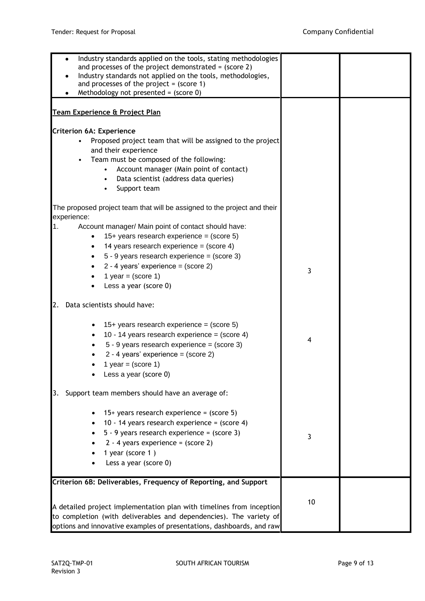| Industry standards applied on the tools, stating methodologies<br>and processes of the project demonstrated = $(score 2)$<br>Industry standards not applied on the tools, methodologies,<br>and processes of the project = $(score 1)$<br>Methodology not presented = $(score 0)$                                             |    |  |
|-------------------------------------------------------------------------------------------------------------------------------------------------------------------------------------------------------------------------------------------------------------------------------------------------------------------------------|----|--|
| Team Experience & Project Plan                                                                                                                                                                                                                                                                                                |    |  |
| <b>Criterion 6A: Experience</b><br>Proposed project team that will be assigned to the project<br>and their experience<br>Team must be composed of the following:<br>$\bullet$<br>Account manager (Main point of contact)<br>Data scientist (address data queries)<br>Support team                                             |    |  |
| The proposed project team that will be assigned to the project and their                                                                                                                                                                                                                                                      |    |  |
| experience:<br>Account manager/ Main point of contact should have:<br>1.<br>15+ years research experience = $(score 5)$<br>14 years research experience = $(score 4)$<br>$5 - 9$ years research experience = (score 3)<br>$\bullet$<br>2 - 4 years' experience = $(score 2)$<br>1 year = $(score 1)$<br>Less a year (score 0) | 3  |  |
| Data scientists should have:<br>2.                                                                                                                                                                                                                                                                                            |    |  |
| 15+ years research experience = $(score 5)$<br>10 - 14 years research experience = $(score 4)$<br>$\bullet$<br>$5 - 9$ years research experience = (score 3)<br>2 - 4 years' experience = $(score 2)$<br>1 year = $(score 1)$<br>Less a year (score 0)                                                                        | 4  |  |
| Support team members should have an average of:<br>3.                                                                                                                                                                                                                                                                         |    |  |
| 15+ years research experience = $(score 5)$<br>10 - 14 years research experience = (score 4)<br>5 - 9 years research experience = (score 3)<br>$2 - 4$ years experience = (score 2)<br>1 year (score 1)<br>Less a year (score 0)                                                                                              | 3  |  |
| Criterion 6B: Deliverables, Frequency of Reporting, and Support<br>A detailed project implementation plan with timelines from inception<br>to completion (with deliverables and dependencies). The variety of<br>options and innovative examples of presentations, dashboards, and raw                                        | 10 |  |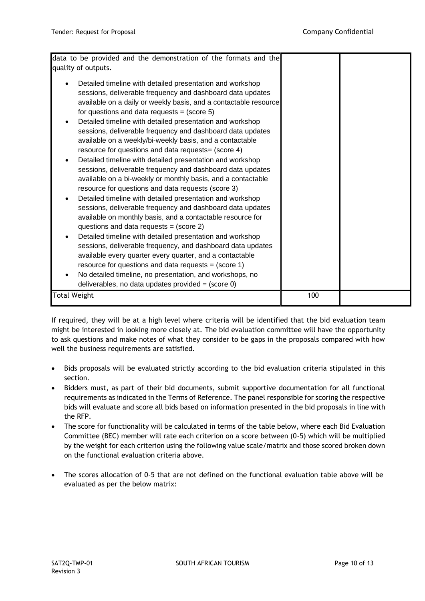| data to be provided and the demonstration of the formats and the<br>quality of outputs.                                                                                                                                                                                                                                                                                                                                                                                                                                                                                                                                                                                                                                                                                                                                                                                                                                                                                                                                                                                                                                                                                                                                                                                                                                                                  |     |  |
|----------------------------------------------------------------------------------------------------------------------------------------------------------------------------------------------------------------------------------------------------------------------------------------------------------------------------------------------------------------------------------------------------------------------------------------------------------------------------------------------------------------------------------------------------------------------------------------------------------------------------------------------------------------------------------------------------------------------------------------------------------------------------------------------------------------------------------------------------------------------------------------------------------------------------------------------------------------------------------------------------------------------------------------------------------------------------------------------------------------------------------------------------------------------------------------------------------------------------------------------------------------------------------------------------------------------------------------------------------|-----|--|
| Detailed timeline with detailed presentation and workshop<br>sessions, deliverable frequency and dashboard data updates<br>available on a daily or weekly basis, and a contactable resource<br>for questions and data requests = $(score 5)$<br>Detailed timeline with detailed presentation and workshop<br>sessions, deliverable frequency and dashboard data updates<br>available on a weekly/bi-weekly basis, and a contactable<br>resource for questions and data requests = (score 4)<br>Detailed timeline with detailed presentation and workshop<br>sessions, deliverable frequency and dashboard data updates<br>available on a bi-weekly or monthly basis, and a contactable<br>resource for questions and data requests (score 3)<br>Detailed timeline with detailed presentation and workshop<br>sessions, deliverable frequency and dashboard data updates<br>available on monthly basis, and a contactable resource for<br>questions and data requests = $(score 2)$<br>Detailed timeline with detailed presentation and workshop<br>sessions, deliverable frequency, and dashboard data updates<br>available every quarter every quarter, and a contactable<br>resource for questions and data requests = $(score 1)$<br>No detailed timeline, no presentation, and workshops, no<br>deliverables, no data updates provided = $(score 0)$ |     |  |
| Total Weight                                                                                                                                                                                                                                                                                                                                                                                                                                                                                                                                                                                                                                                                                                                                                                                                                                                                                                                                                                                                                                                                                                                                                                                                                                                                                                                                             | 100 |  |

If required, they will be at a high level where criteria will be identified that the bid evaluation team might be interested in looking more closely at. The bid evaluation committee will have the opportunity to ask questions and make notes of what they consider to be gaps in the proposals compared with how well the business requirements are satisfied.

- Bids proposals will be evaluated strictly according to the bid evaluation criteria stipulated in this section.
- Bidders must, as part of their bid documents, submit supportive documentation for all functional requirements as indicated in the Terms of Reference. The panel responsible for scoring the respective bids will evaluate and score all bids based on information presented in the bid proposals in line with the RFP.
- The score for functionality will be calculated in terms of the table below, where each Bid Evaluation Committee (BEC) member will rate each criterion on a score between (0-5) which will be multiplied by the weight for each criterion using the following value scale/matrix and those scored broken down on the functional evaluation criteria above.
- The scores allocation of 0-5 that are not defined on the functional evaluation table above will be evaluated as per the below matrix: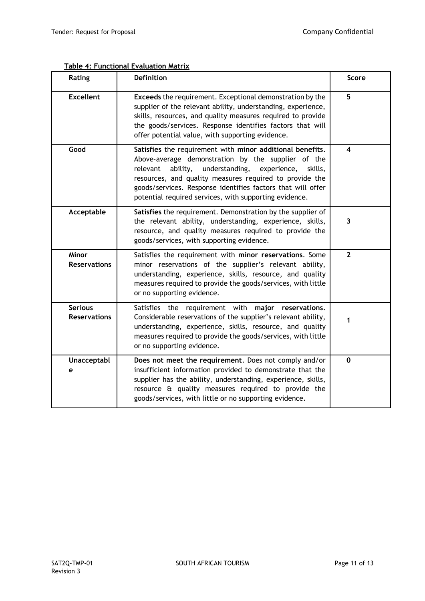| Rating                                | <b>Definition</b>                                                                                                                                                                                                                                                                                                                                                       | <b>Score</b>   |
|---------------------------------------|-------------------------------------------------------------------------------------------------------------------------------------------------------------------------------------------------------------------------------------------------------------------------------------------------------------------------------------------------------------------------|----------------|
| <b>Excellent</b>                      | <b>Exceeds</b> the requirement. Exceptional demonstration by the<br>supplier of the relevant ability, understanding, experience,<br>skills, resources, and quality measures required to provide<br>the goods/services. Response identifies factors that will<br>offer potential value, with supporting evidence.                                                        | 5              |
| Good                                  | Satisfies the requirement with minor additional benefits.<br>Above-average demonstration by the supplier of the<br>understanding,<br>ability,<br>experience,<br>relevant<br>skills,<br>resources, and quality measures required to provide the<br>goods/services. Response identifies factors that will offer<br>potential required services, with supporting evidence. | 4              |
| Acceptable                            | Satisfies the requirement. Demonstration by the supplier of<br>the relevant ability, understanding, experience, skills,<br>resource, and quality measures required to provide the<br>goods/services, with supporting evidence.                                                                                                                                          | 3              |
| Minor<br><b>Reservations</b>          | Satisfies the requirement with minor reservations. Some<br>minor reservations of the supplier's relevant ability,<br>understanding, experience, skills, resource, and quality<br>measures required to provide the goods/services, with little<br>or no supporting evidence.                                                                                             | $\overline{2}$ |
| <b>Serious</b><br><b>Reservations</b> | Satisfies the requirement with major reservations.<br>Considerable reservations of the supplier's relevant ability,<br>understanding, experience, skills, resource, and quality<br>measures required to provide the goods/services, with little<br>or no supporting evidence.                                                                                           | $\mathbf{1}$   |
| Unacceptabl<br>е                      | Does not meet the requirement. Does not comply and/or<br>insufficient information provided to demonstrate that the<br>supplier has the ability, understanding, experience, skills,<br>resource & quality measures required to provide the<br>goods/services, with little or no supporting evidence.                                                                     | $\mathbf 0$    |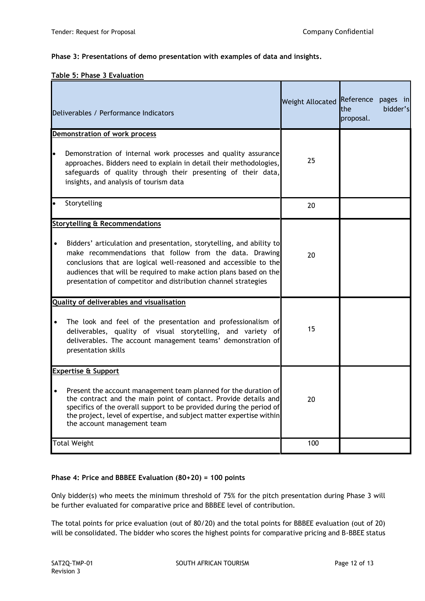### **Phase 3: Presentations of demo presentation with examples of data and insights.**

### **Table 5: Phase 3 Evaluation**

| Deliverables / Performance Indicators                                                                                                                                                                                                                                                                                                                   | Weight Allocated | Reference pages in<br>bidder's<br><b>the</b><br>proposal. |
|---------------------------------------------------------------------------------------------------------------------------------------------------------------------------------------------------------------------------------------------------------------------------------------------------------------------------------------------------------|------------------|-----------------------------------------------------------|
| Demonstration of work process                                                                                                                                                                                                                                                                                                                           |                  |                                                           |
| Demonstration of internal work processes and quality assurance<br>Iо<br>approaches. Bidders need to explain in detail their methodologies,<br>safeguards of quality through their presenting of their data,<br>insights, and analysis of tourism data                                                                                                   | 25               |                                                           |
| Storytelling<br>$\bullet$                                                                                                                                                                                                                                                                                                                               | 20               |                                                           |
| <b>Storytelling &amp; Recommendations</b>                                                                                                                                                                                                                                                                                                               |                  |                                                           |
| Bidders' articulation and presentation, storytelling, and ability to<br>$\bullet$<br>make recommendations that follow from the data. Drawing<br>conclusions that are logical well-reasoned and accessible to the<br>audiences that will be required to make action plans based on the<br>presentation of competitor and distribution channel strategies | 20               |                                                           |
| <b>Quality of deliverables and visualisation</b>                                                                                                                                                                                                                                                                                                        |                  |                                                           |
| The look and feel of the presentation and professionalism of<br>$\bullet$<br>deliverables, quality of visual storytelling, and variety of<br>deliverables. The account management teams' demonstration of<br>presentation skills                                                                                                                        | 15               |                                                           |
| <b>Expertise &amp; Support</b>                                                                                                                                                                                                                                                                                                                          |                  |                                                           |
| Present the account management team planned for the duration of<br>$\bullet$<br>the contract and the main point of contact. Provide details and<br>specifics of the overall support to be provided during the period of<br>the project, level of expertise, and subject matter expertise within<br>the account management team                          | 20               |                                                           |
| <b>Total Weight</b>                                                                                                                                                                                                                                                                                                                                     | 100              |                                                           |

### **Phase 4: Price and BBBEE Evaluation (80+20) = 100 points**

Only bidder(s) who meets the minimum threshold of 75% for the pitch presentation during Phase 3 will be further evaluated for comparative price and BBBEE level of contribution.

The total points for price evaluation (out of 80/20) and the total points for BBBEE evaluation (out of 20) will be consolidated. The bidder who scores the highest points for comparative pricing and B-BBEE status